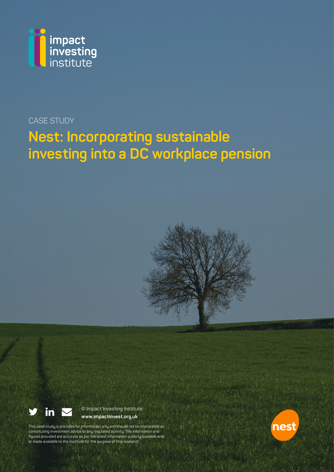

# CASE STUDY

# **Nest: Incorporating sustainable investing into a DC workplace pension**





© Impact Investing Institute **www.impactinvest.org.uk**

This case study is provided for information only and should not be interpreted as constituting investment advice or any regulated activity. The information and figures provided are accurate as per the latest information publicly available and/ or made available to the Institute for the purpose of this research.

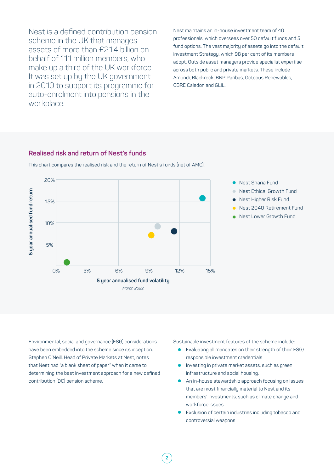Nest is a defined contribution pension scheme in the UK that manages assets of more than £21.4 billion on behalf of 11.1 million members, who make up a third of the UK workforce. It was set up by the UK government in 2010 to support its programme for auto-enrolment into pensions in the workplace.

Nest maintains an in-house investment team of 40 professionals, which oversees over 50 default funds and 5 fund options. The vast majority of assets go into the default investment Strategy, which 98 per cent of its members adopt. Outside asset managers provide specialist expertise across both public and private markets. These include Amundi, Blackrock, BNP Paribas, Octopus Renewables, CBRE Caledon and GLIL.

#### **Realised risk and return of Nest's funds**



**2**

This chart compares the realised risk and the return of Nest's funds (net of AMC).

Environmental, social and governance (ESG) considerations have been embedded into the scheme since its inception. Stephen O'Neill, Head of Private Markets at Nest, notes that Nest had "a blank sheet of paper" when it came to determining the best investment approach for a new defined contribution (DC) pension scheme.

Sustainable investment features of the scheme include:

- <sup>ā</sup> Evaluating all mandates on their strength of their ESG/ responsible investment credentials
- Investing in private market assets, such as green infrastructure and social housing.
- **•** An in-house stewardship approach focusing on issues that are most financially material to Nest and its members' investments, such as climate change and workforce issues
- Exclusion of certain industries including tobacco and controversial weapons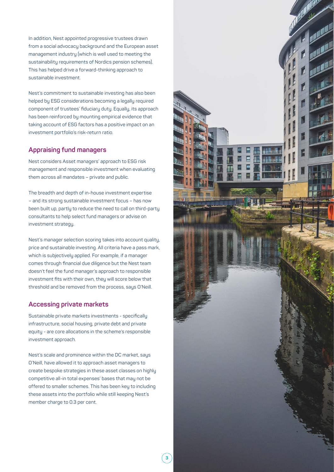In addition, Nest appointed progressive trustees drawn from a social advocacy background and the European asset management industry (which is well used to meeting the sustainability requirements of Nordics pension schemes). This has helped drive a forward-thinking approach to sustainable investment.

Nest's commitment to sustainable investing has also been helped by ESG considerations becoming a legally required component of trustees' fiduciary duty. Equally, its approach has been reinforced by mounting empirical evidence that taking account of ESG factors has a positive impact on an investment portfolio's risk-return ratio.

### **Appraising fund managers**

Nest considers Asset managers' approach to ESG risk management and responsible investment when evaluating them across all mandates – private and public.

The breadth and depth of in-house investment expertise – and its strong sustainable investment focus – has now been built up, partly to reduce the need to call on third-party consultants to help select fund managers or advise on investment strategy.

Nest's manager selection scoring takes into account quality, price and sustainable investing. All criteria have a pass mark, which is subjectively applied. For example, if a manager comes through financial due diligence but the Nest team doesn't feel the fund manager's approach to responsible investment fits with their own, they will score below that threshold and be removed from the process, says O'Neill.

#### **Accessing private markets**

Sustainable private markets investments - specifically infrastructure, social housing, private debt and private equity - are core allocations in the scheme's responsible investment approach.

Nest's scale and prominence within the DC market, says O'Neill, have allowed it to approach asset managers to create bespoke strategies in these asset classes on highly competitive all-in total expenses' bases that may not be offered to smaller schemes. This has been key to including these assets into the portfolio while still keeping Nest's member charge to 0.3 per cent.